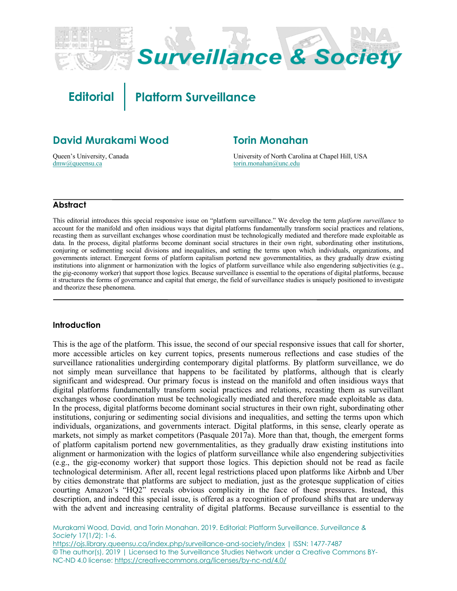

**Editorial Platform Surveillance**

# **David Murakami Wood**

Queen's University, Canada dmw@queensu.ca

# **Torin Monahan**

University of North Carolina at Chapel Hill, USA torin.monahan@unc.edu

### **Abstract**

This editorial introduces this special responsive issue on "platform surveillance." We develop the term *platform surveillance* to account for the manifold and often insidious ways that digital platforms fundamentally transform social practices and relations, recasting them as surveillant exchanges whose coordination must be technologically mediated and therefore made exploitable as data. In the process, digital platforms become dominant social structures in their own right, subordinating other institutions, conjuring or sedimenting social divisions and inequalities, and setting the terms upon which individuals, organizations, and governments interact. Emergent forms of platform capitalism portend new governmentalities, as they gradually draw existing institutions into alignment or harmonization with the logics of platform surveillance while also engendering subjectivities (e.g., the gig-economy worker) that support those logics. Because surveillance is essential to the operations of digital platforms, because it structures the forms of governance and capital that emerge, the field of surveillance studies is uniquely positioned to investigate and theorize these phenomena.

#### **Introduction**

This is the age of the platform. This issue, the second of our special responsive issues that call for shorter, more accessible articles on key current topics, presents numerous reflections and case studies of the surveillance rationalities undergirding contemporary digital platforms. By platform surveillance, we do not simply mean surveillance that happens to be facilitated by platforms, although that is clearly significant and widespread. Our primary focus is instead on the manifold and often insidious ways that digital platforms fundamentally transform social practices and relations, recasting them as surveillant exchanges whose coordination must be technologically mediated and therefore made exploitable as data. In the process, digital platforms become dominant social structures in their own right, subordinating other institutions, conjuring or sedimenting social divisions and inequalities, and setting the terms upon which individuals, organizations, and governments interact. Digital platforms, in this sense, clearly operate as markets, not simply as market competitors (Pasquale 2017a). More than that, though, the emergent forms of platform capitalism portend new governmentalities, as they gradually draw existing institutions into alignment or harmonization with the logics of platform surveillance while also engendering subjectivities (e.g., the gig-economy worker) that support those logics. This depiction should not be read as facile technological determinism. After all, recent legal restrictions placed upon platforms like Airbnb and Uber by cities demonstrate that platforms are subject to mediation, just as the grotesque supplication of cities courting Amazon's "HQ2" reveals obvious complicity in the face of these pressures. Instead, this description, and indeed this special issue, is offered as a recognition of profound shifts that are underway with the advent and increasing centrality of digital platforms. Because surveillance is essential to the

Murakami Wood, David, and Torin Monahan. 2019. Editorial: Platform Surveillance. *Surveillance & Society* 17(1/2): 1-6. https://ojs.library.queensu.ca/index.php/surveillance-and-society/index | ISSN: 1477-7487 © The author(s), 2019 | Licensed to the Surveillance Studies Network under a Creative Commons BY-NC-ND 4.0 license: https://creativecommons.org/licenses/by-nc-nd/4.0/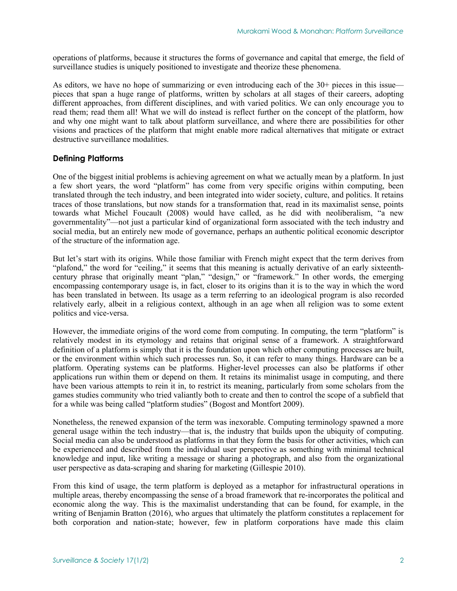operations of platforms, because it structures the forms of governance and capital that emerge, the field of surveillance studies is uniquely positioned to investigate and theorize these phenomena.

As editors, we have no hope of summarizing or even introducing each of the 30+ pieces in this issue pieces that span a huge range of platforms, written by scholars at all stages of their careers, adopting different approaches, from different disciplines, and with varied politics. We can only encourage you to read them; read them all! What we will do instead is reflect further on the concept of the platform, how and why one might want to talk about platform surveillance, and where there are possibilities for other visions and practices of the platform that might enable more radical alternatives that mitigate or extract destructive surveillance modalities.

# **Defining Platforms**

One of the biggest initial problems is achieving agreement on what we actually mean by a platform. In just a few short years, the word "platform" has come from very specific origins within computing, been translated through the tech industry, and been integrated into wider society, culture, and politics. It retains traces of those translations, but now stands for a transformation that, read in its maximalist sense, points towards what Michel Foucault (2008) would have called, as he did with neoliberalism, "a new governmentality"—not just a particular kind of organizational form associated with the tech industry and social media, but an entirely new mode of governance, perhaps an authentic political economic descriptor of the structure of the information age.

But let's start with its origins. While those familiar with French might expect that the term derives from "plafond," the word for "ceiling," it seems that this meaning is actually derivative of an early sixteenthcentury phrase that originally meant "plan," "design," or "framework." In other words, the emerging encompassing contemporary usage is, in fact, closer to its origins than it is to the way in which the word has been translated in between. Its usage as a term referring to an ideological program is also recorded relatively early, albeit in a religious context, although in an age when all religion was to some extent politics and vice-versa.

However, the immediate origins of the word come from computing. In computing, the term "platform" is relatively modest in its etymology and retains that original sense of a framework. A straightforward definition of a platform is simply that it is the foundation upon which other computing processes are built, or the environment within which such processes run. So, it can refer to many things. Hardware can be a platform. Operating systems can be platforms. Higher-level processes can also be platforms if other applications run within them or depend on them. It retains its minimalist usage in computing, and there have been various attempts to rein it in, to restrict its meaning, particularly from some scholars from the games studies community who tried valiantly both to create and then to control the scope of a subfield that for a while was being called "platform studies" (Bogost and Montfort 2009).

Nonetheless, the renewed expansion of the term was inexorable. Computing terminology spawned a more general usage within the tech industry—that is, the industry that builds upon the ubiquity of computing. Social media can also be understood as platforms in that they form the basis for other activities, which can be experienced and described from the individual user perspective as something with minimal technical knowledge and input, like writing a message or sharing a photograph, and also from the organizational user perspective as data-scraping and sharing for marketing (Gillespie 2010).

From this kind of usage, the term platform is deployed as a metaphor for infrastructural operations in multiple areas, thereby encompassing the sense of a broad framework that re-incorporates the political and economic along the way. This is the maximalist understanding that can be found, for example, in the writing of Benjamin Bratton (2016), who argues that ultimately the platform constitutes a replacement for both corporation and nation-state; however, few in platform corporations have made this claim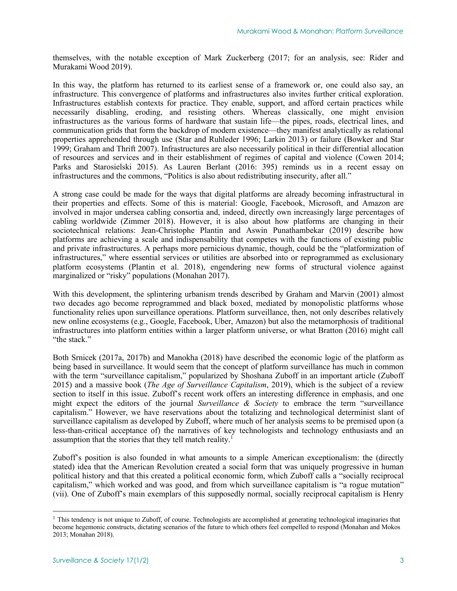themselves, with the notable exception of Mark Zuckerberg (2017; for an analysis, see: Rider and Murakami Wood 2019).

In this way, the platform has returned to its earliest sense of a framework or, one could also say, an infrastructure. This convergence of platforms and infrastructures also invites further critical exploration. Infrastructures establish contexts for practice. They enable, support, and afford certain practices while necessarily disabling, eroding, and resisting others. Whereas classically, one might envision infrastructures as the various forms of hardware that sustain life—the pipes, roads, electrical lines, and communication grids that form the backdrop of modern existence—they manifest analytically as relational properties apprehended through use (Star and Ruhleder 1996; Larkin 2013) or failure (Bowker and Star 1999; Graham and Thrift 2007). Infrastructures are also necessarily political in their differential allocation of resources and services and in their establishment of regimes of capital and violence (Cowen 2014; Parks and Starosielski 2015). As Lauren Berlant (2016: 395) reminds us in a recent essay on infrastructures and the commons, "Politics is also about redistributing insecurity, after all."

A strong case could be made for the ways that digital platforms are already becoming infrastructural in their properties and effects. Some of this is material: Google, Facebook, Microsoft, and Amazon are involved in major undersea cabling consortia and, indeed, directly own increasingly large percentages of cabling worldwide (Zimmer 2018). However, it is also about how platforms are changing in their sociotechnical relations: Jean-Christophe Plantin and Aswin Punathambekar (2019) describe how platforms are achieving a scale and indispensability that competes with the functions of existing public and private infrastructures. A perhaps more pernicious dynamic, though, could be the "platformization of infrastructures," where essential services or utilities are absorbed into or reprogrammed as exclusionary platform ecosystems (Plantin et al. 2018), engendering new forms of structural violence against marginalized or "risky" populations (Monahan 2017).

With this development, the splintering urbanism trends described by Graham and Marvin (2001) almost two decades ago become reprogrammed and black boxed, mediated by monopolistic platforms whose functionality relies upon surveillance operations. Platform surveillance, then, not only describes relatively new online ecosystems (e.g., Google, Facebook, Uber, Amazon) but also the metamorphosis of traditional infrastructures into platform entities within a larger platform universe, or what Bratton (2016) might call "the stack."

Both Srnicek (2017a, 2017b) and Manokha (2018) have described the economic logic of the platform as being based in surveillance. It would seem that the concept of platform surveillance has much in common with the term "surveillance capitalism," popularized by Shoshana Zuboff in an important article (Zuboff 2015) and a massive book (*The Age of Surveillance Capitalism*, 2019), which is the subject of a review section to itself in this issue. Zuboff's recent work offers an interesting difference in emphasis, and one might expect the editors of the journal *Surveillance & Society* to embrace the term "surveillance capitalism." However, we have reservations about the totalizing and technological determinist slant of surveillance capitalism as developed by Zuboff, where much of her analysis seems to be premised upon (a less-than-critical acceptance of) the narratives of key technologists and technology enthusiasts and an assumption that the stories that they tell match reality.<sup>1</sup>

Zuboff's position is also founded in what amounts to a simple American exceptionalism: the (directly stated) idea that the American Revolution created a social form that was uniquely progressive in human political history and that this created a political economic form, which Zuboff calls a "socially reciprocal capitalism," which worked and was good, and from which surveillance capitalism is "a rogue mutation" (vii). One of Zuboff's main exemplars of this supposedly normal, socially reciprocal capitalism is Henry

 $1$  This tendency is not unique to Zuboff, of course. Technologists are accomplished at generating technological imaginaries that become hegemonic constructs, dictating scenarios of the future to which others feel compelled to respond (Monahan and Mokos 2013; Monahan 2018).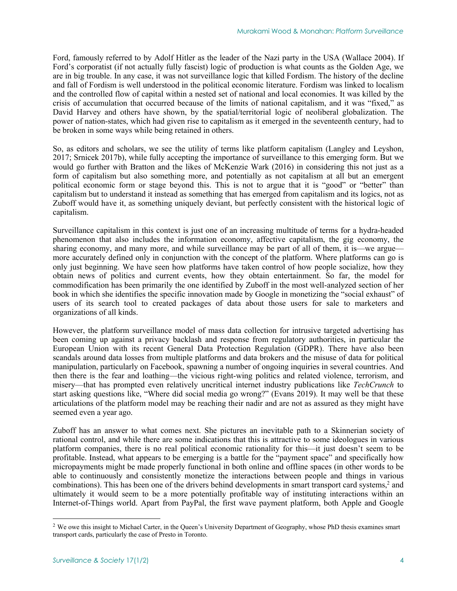Ford, famously referred to by Adolf Hitler as the leader of the Nazi party in the USA (Wallace 2004). If Ford's corporatist (if not actually fully fascist) logic of production is what counts as the Golden Age, we are in big trouble. In any case, it was not surveillance logic that killed Fordism. The history of the decline and fall of Fordism is well understood in the political economic literature. Fordism was linked to localism and the controlled flow of capital within a nested set of national and local economies. It was killed by the crisis of accumulation that occurred because of the limits of national capitalism, and it was "fixed," as David Harvey and others have shown, by the spatial/territorial logic of neoliberal globalization. The power of nation-states, which had given rise to capitalism as it emerged in the seventeenth century, had to be broken in some ways while being retained in others.

So, as editors and scholars, we see the utility of terms like platform capitalism (Langley and Leyshon, 2017; Srnicek 2017b), while fully accepting the importance of surveillance to this emerging form. But we would go further with Bratton and the likes of McKenzie Wark (2016) in considering this not just as a form of capitalism but also something more, and potentially as not capitalism at all but an emergent political economic form or stage beyond this. This is not to argue that it is "good" or "better" than capitalism but to understand it instead as something that has emerged from capitalism and its logics, not as Zuboff would have it, as something uniquely deviant, but perfectly consistent with the historical logic of capitalism.

Surveillance capitalism in this context is just one of an increasing multitude of terms for a hydra-headed phenomenon that also includes the information economy, affective capitalism, the gig economy, the sharing economy, and many more, and while surveillance may be part of all of them, it is—we argue more accurately defined only in conjunction with the concept of the platform. Where platforms can go is only just beginning. We have seen how platforms have taken control of how people socialize, how they obtain news of politics and current events, how they obtain entertainment. So far, the model for commodification has been primarily the one identified by Zuboff in the most well-analyzed section of her book in which she identifies the specific innovation made by Google in monetizing the "social exhaust" of users of its search tool to created packages of data about those users for sale to marketers and organizations of all kinds.

However, the platform surveillance model of mass data collection for intrusive targeted advertising has been coming up against a privacy backlash and response from regulatory authorities, in particular the European Union with its recent General Data Protection Regulation (GDPR). There have also been scandals around data losses from multiple platforms and data brokers and the misuse of data for political manipulation, particularly on Facebook, spawning a number of ongoing inquiries in several countries. And then there is the fear and loathing—the vicious right-wing politics and related violence, terrorism, and misery—that has prompted even relatively uncritical internet industry publications like *TechCrunch* to start asking questions like, "Where did social media go wrong?" (Evans 2019). It may well be that these articulations of the platform model may be reaching their nadir and are not as assured as they might have seemed even a year ago.

Zuboff has an answer to what comes next. She pictures an inevitable path to a Skinnerian society of rational control, and while there are some indications that this is attractive to some ideologues in various platform companies, there is no real political economic rationality for this—it just doesn't seem to be profitable. Instead, what appears to be emerging is a battle for the "payment space" and specifically how micropayments might be made properly functional in both online and offline spaces (in other words to be able to continuously and consistently monetize the interactions between people and things in various combinations). This has been one of the drivers behind developments in smart transport card systems,<sup>2</sup> and ultimately it would seem to be a more potentially profitable way of instituting interactions within an Internet-of-Things world. Apart from PayPal, the first wave payment platform, both Apple and Google

<sup>&</sup>lt;sup>2</sup> We owe this insight to Michael Carter, in the Queen's University Department of Geography, whose PhD thesis examines smart transport cards, particularly the case of Presto in Toronto.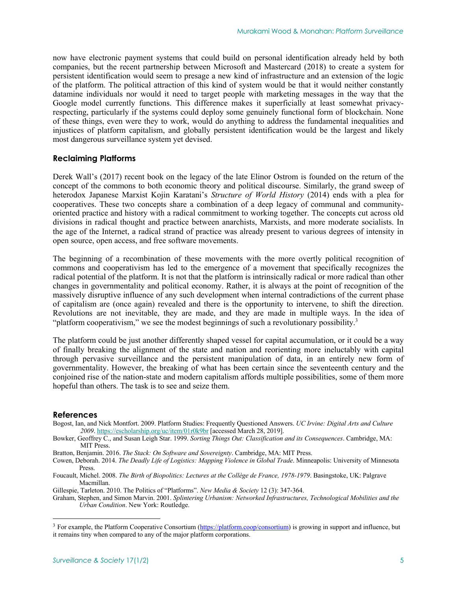now have electronic payment systems that could build on personal identification already held by both companies, but the recent partnership between Microsoft and Mastercard (2018) to create a system for persistent identification would seem to presage a new kind of infrastructure and an extension of the logic of the platform. The political attraction of this kind of system would be that it would neither constantly datamine individuals nor would it need to target people with marketing messages in the way that the Google model currently functions. This difference makes it superficially at least somewhat privacyrespecting, particularly if the systems could deploy some genuinely functional form of blockchain. None of these things, even were they to work, would do anything to address the fundamental inequalities and injustices of platform capitalism, and globally persistent identification would be the largest and likely most dangerous surveillance system yet devised.

## **Reclaiming Platforms**

Derek Wall's (2017) recent book on the legacy of the late Elinor Ostrom is founded on the return of the concept of the commons to both economic theory and political discourse. Similarly, the grand sweep of heterodox Japanese Marxist Kojin Karatani's *Structure of World History* (2014) ends with a plea for cooperatives. These two concepts share a combination of a deep legacy of communal and communityoriented practice and history with a radical commitment to working together. The concepts cut across old divisions in radical thought and practice between anarchists, Marxists, and more moderate socialists. In the age of the Internet, a radical strand of practice was already present to various degrees of intensity in open source, open access, and free software movements.

The beginning of a recombination of these movements with the more overtly political recognition of commons and cooperativism has led to the emergence of a movement that specifically recognizes the radical potential of the platform. It is not that the platform is intrinsically radical or more radical than other changes in governmentality and political economy. Rather, it is always at the point of recognition of the massively disruptive influence of any such development when internal contradictions of the current phase of capitalism are (once again) revealed and there is the opportunity to intervene, to shift the direction. Revolutions are not inevitable, they are made, and they are made in multiple ways. In the idea of "platform cooperativism," we see the modest beginnings of such a revolutionary possibility.<sup>3</sup>

The platform could be just another differently shaped vessel for capital accumulation, or it could be a way of finally breaking the alignment of the state and nation and reorienting more ineluctably with capital through pervasive surveillance and the persistent manipulation of data, in an entirely new form of governmentality. However, the breaking of what has been certain since the seventeenth century and the conjoined rise of the nation-state and modern capitalism affords multiple possibilities, some of them more hopeful than others. The task is to see and seize them.

### **References**

Bogost, Ian, and Nick Montfort. 2009. Platform Studies: Frequently Questioned Answers. *UC Irvine: Digital Arts and Culture 2009*. https://escholarship.org/uc/item/01r0k9br [accessed March 28, 2019].

Bratton, Benjamin. 2016. *The Stack: On Software and Sovereignty*. Cambridge, MA: MIT Press.

- Foucault, Michel. 2008. *The Birth of Biopolitics: Lectures at the Collège de France, 1978-1979*. Basingstoke, UK: Palgrave Macmillan.
- Gillespie, Tarleton. 2010. The Politics of "Platforms". *New Media & Society* 12 (3): 347-364.
- Graham, Stephen, and Simon Marvin. 2001. *Splintering Urbanism: Networked Infrastructures, Technological Mobilities and the Urban Condition*. New York: Routledge.

Bowker, Geoffrey C., and Susan Leigh Star. 1999. *Sorting Things Out: Classification and its Consequences*. Cambridge, MA: MIT Press.

Cowen, Deborah. 2014. *The Deadly Life of Logistics: Mapping Violence in Global Trade*. Minneapolis: University of Minnesota Press.

<sup>&</sup>lt;sup>3</sup> For example, the Platform Cooperative Consortium (https://platform.coop/consortium) is growing in support and influence, but it remains tiny when compared to any of the major platform corporations.